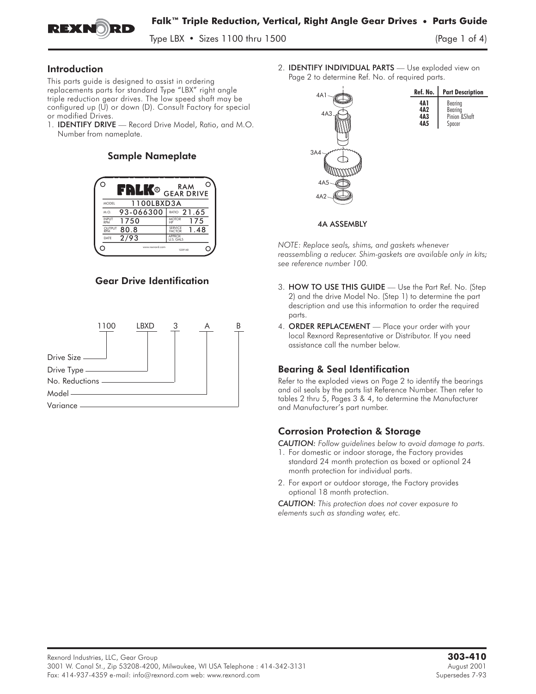

Type LBX  $\cdot$  Sizes 1100 thru 1500

### Introduction

This parts guide is designed to assist in ordering replacements parts for standard Type "LBX" right angle triple reduction gear drives. The low speed shaft may be configured up (U) or down (D). Consult Factory for special or modified Drives.<br>1. **IDENTIFY DRIVE** — Record Drive Model, Ratio, and M.O. 1. Ins paris gonde is designed to dssist in ordering<br>triple reduction gear drives. The low speed shaft may be<br>triple reduction gear drives. The low speed shaft may be<br>configured up (U) or down (D). Consult Factory for spec

Number from nameplate.

# Sample Nameplate



# Gear Drive Identification



2. IDENTIFY INDIVIDUAL PARTS **—** Use exploded view on Page 2 to determine Ref. No. of required parts.



#### 4A ASSEMBLY

*NOTE: Replace seals, shims, and gaskets whenever reassembling a reducer. Shim-gaskets are available only in kits; see reference number 100.* NOTE: Keplace seals, shims, and gaskets whenever<br>reassembling a reducer. Shim-gaskets are available only in kits;<br>see reference number 100.<br>3. **HOW TO USE THIS GUIDE** — Use the Part Ref. No. (Step

- 2) and the drive Model No. (Step 1) to determine the part description and use this information to order the required parts. 3. HOW TO USE THIS GUIDE — Use the Part Ref. No. (Step 2) and the drive Model No. (Step 1) to determine the part description and use this information to order the required parts.<br>4. ORDER REPLACEMENT — Place your order wit
- local Rexnord Representative or Distributor. If you need assistance call the number below.

# Bearing & Seal Identification

Refer to the exploded views on Page 2 to identify the bearings and oil seals by the parts list Reference Number. Then refer to tables 2 thru 5, Pages 3 & 4, to determine the Manufacturer and Manufacturer's part number.

# Corrosion Protection & Storage

*CAUTION: Follow guidelines below to avoid damage to parts.*

- 1. For domestic or indoor storage, the Factory provides standard 24 month protection as boxed or optional 24 month protection for individual parts.
- 2. For export or outdoor storage, the Factory provides optional 18 month protection.

*CAUTION: This protection does not cover exposure to elements such as standing water, etc.*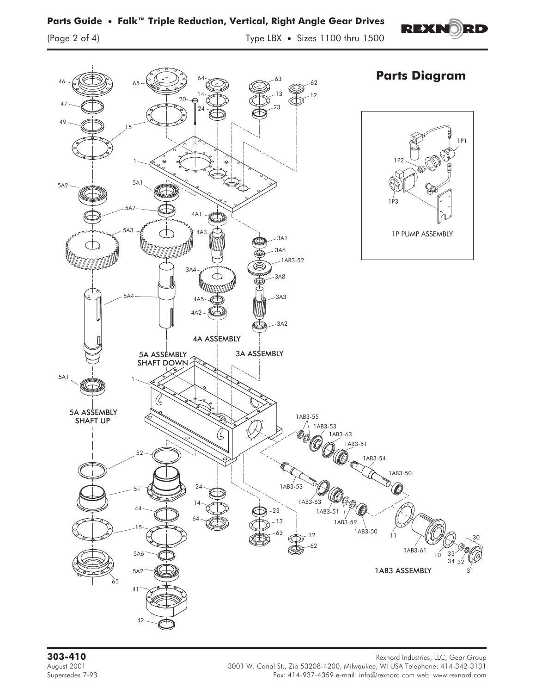

**303-410** Rexnord Industries, LLC, Gear Group<br>3001 W. Canal St., Zip 53208-4200, Milwaukee, WI USA Telephone: 414-342-3131 August 2001 3001 W. Canal St., Zip 53208-4200, Milwaukee, WI USA Telephone: 414-342-3131 Fax: 414-937-4359 e-mail: info@rexnord.com web: www.rexnord.com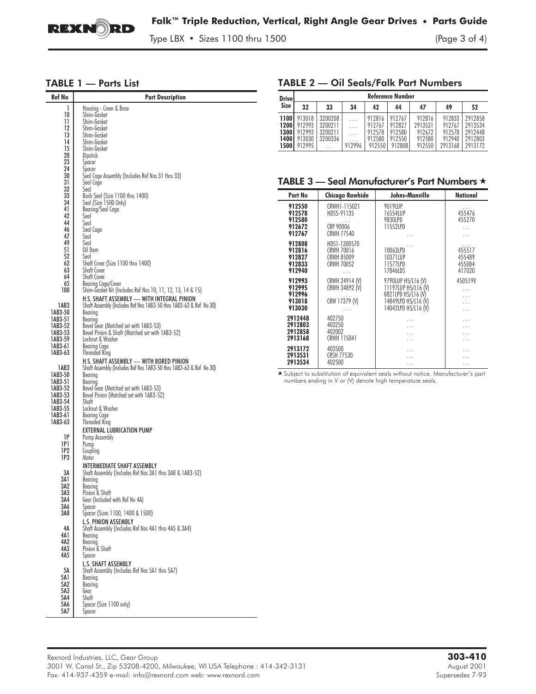

Type LBX • Sizes 1100 thru 1500 (Page 3 of 4)

#### TABLE 1 — Parts List

| Ref No             | <b>Part Description</b>                                                          |
|--------------------|----------------------------------------------------------------------------------|
| 1                  | Housing - Cover & Base                                                           |
| 10                 | Shim-Gasket                                                                      |
| 11                 | Shim-Gasket                                                                      |
| 12                 | Shim-Gasket                                                                      |
| 13<br>14           | Shim-Gasket<br>Shim-Gasket                                                       |
| 15                 | Shim-Gasket                                                                      |
| 20                 | <b>Dipstick</b>                                                                  |
| 23                 | Spacer                                                                           |
| 24                 | Spacer                                                                           |
| 30<br>31           | Seal Cage Assembly (Includes Ref Nos 31 thru 33)                                 |
| 32                 | Seal Cage<br>Seal                                                                |
| 33                 | Bush Seal (Size 1100 thru 1400)                                                  |
| 34                 | Seal (Size 1500 Only)                                                            |
| 41                 | Bearing/Seal Cage                                                                |
| 42<br>44           | Seal<br>Seal                                                                     |
| 46                 | Seal Cage                                                                        |
| 47                 | Seal                                                                             |
| 49                 | Seal                                                                             |
| 51                 | Oil Dam                                                                          |
| 52<br>62           | Seal<br>Shaft Cover (Size 1100 thru 1400)                                        |
| 63                 | Shaft Cover                                                                      |
| 64                 | Shaft Cover                                                                      |
| 65                 | Bearing Cage/Cover                                                               |
| 100                | Shim-Gasket Kit (Includes Ref Nos 10, 11, 12, 13, 14 & 15)                       |
|                    | H.S. SHAFT ASSEMBLY - WITH INTEGRAL PINION                                       |
| 1AB3<br>1AB3-50    | Shaft Assembly (Includes Ref Nos 1AB3-50 thru 1AB3-63 & Ref No 30)<br>Bearing    |
| 1AB3-51            | Bearing                                                                          |
| 1AB3-52            | Bevel Gear (Matched set with 1AB3-53)                                            |
| 1AB3-53            | Bevel Pinion & Shaft (Matched set with 1AB3-52)                                  |
| 1AB3-59            | Locknut & Washer                                                                 |
| 1AB3-61<br>1AB3-63 | Bearing Cage<br><b>Threaded Ring</b>                                             |
|                    | H.S. SHAFT ASSEMBLY - WITH BORED PINION                                          |
| 1AB3               | Shaft Assembly (Includes Ref Nos 1AB3-50 thru 1AB3-63 & Ref No 30)               |
| 1AB3-50            | Bearing                                                                          |
| 1AB3-51            | Bearing                                                                          |
| 1AB3-52<br>1AB3-53 | Bevel Gear (Matched set with 1AB3-53)<br>Bevel Pinion (Matched set with 1AB3-52) |
| 1AB3-54            | Shaft                                                                            |
| 1AB3-55            | Locknut & Washer                                                                 |
| 1AB3-61            | Bearing Cage                                                                     |
| 1AB3-63            | <b>Threaded Ring</b>                                                             |
| 1Р                 | EXTERNAL LUBRICATION PUMP<br>Pump Assembly                                       |
| 1P1                | Pump                                                                             |
| 1P2                | Coupling                                                                         |
| 1P3                | Motor                                                                            |
|                    | INTERMEDIATE SHAFT ASSEMBLY                                                      |
| ЗΑ<br>3A 1         | Shaft Assembly (Includes Ref Nos 3A1 thru 3A8 & 1AB3-52)<br>Bearing              |
| 3A2                | Bearing                                                                          |
| 3A3                | Pinion & Shaft                                                                   |
| 3A4                | Gear (Included with Ref No 4A)                                                   |
| 3A6<br>3A8         | Spacer<br>Spacer (Sizes 1100, 1400 & 1500)                                       |
|                    | <b>L.S. PINION ASSEMBLY</b>                                                      |
| 4А                 | Shaft Assembly (Includes Ref Nos 4A1 thru 4A5 & 3A4)                             |
| 4A1                | Bearing                                                                          |
| 4A2                | Bearing                                                                          |
| 4A3                | Pinion & Shaft                                                                   |
| 4A5                | Spacer<br><b>L.S. SHAFT ASSEMBLY</b>                                             |
| 5Α                 | Shaft Assembly (Includes Ref Nos 5A1 thru 5A7)                                   |
| 5A1                | Bearing                                                                          |
| 5A2                | Bearing                                                                          |
| 5A3                | Gear                                                                             |
| 5A4<br>5A6         | Shaft<br>Spacer (Size 1100 only)                                                 |
| 5A7                | Spacer                                                                           |
|                    |                                                                                  |

## TABLE 2 — Oil Seals/Falk Part Numbers

| <b>Drivel</b>                           | <b>Reference Number</b>                        |                                          |        |                                                |                                                |                                                 |                                                 |                                                     |
|-----------------------------------------|------------------------------------------------|------------------------------------------|--------|------------------------------------------------|------------------------------------------------|-------------------------------------------------|-------------------------------------------------|-----------------------------------------------------|
| Size                                    | 32                                             | 33                                       | 34     | 42                                             | 44                                             | 47                                              | 49                                              | 52                                                  |
| 1100<br>1200<br>13001<br>1400 l<br>1500 | 913018<br>912993<br>912993<br>913030<br>912995 | 3200208<br>3200211<br>3200211<br>3200336 | 912996 | 912816<br>912767<br>912578<br>912580<br>912550 | 912767<br>912827<br>912580<br>912550<br>912808 | 912816<br>2913531<br>912672<br>912580<br>912550 | 912833<br>912767<br>912578<br>912940<br>2913168 | 2912858<br>2913534<br>2912448<br>2912803<br>2913172 |

## TABLE 3 — Seal Manufacturer's Part Numbers *-*

| Part No                                        | <b>Chicago Rawhide</b>                                               | Johns-Manville                                                                                                | <b>National</b>                           |
|------------------------------------------------|----------------------------------------------------------------------|---------------------------------------------------------------------------------------------------------------|-------------------------------------------|
| 912550<br>912578<br>912580<br>912672<br>912767 | CRWH1-115021<br>HDS5-91135<br>CRP 90006<br><b>CRWH 77540</b>         | 9019LUP<br>16554LUP<br>9830LPD<br>11552LPD                                                                    | .<br>455476<br>455270                     |
| 912808<br>912816<br>912827<br>912833<br>912940 | HDS1-1300570<br>CRWH 70016<br><b>CRWH 85009</b><br><b>CRWH 70052</b> | 10063LPD<br>10371LUP<br>11577LPD<br>17846LDS                                                                  | .<br>455517<br>455489<br>455084<br>417020 |
| 912993<br>912995<br>912996<br>913018<br>913030 | CRWH 24914 (V)<br>CRWH 34892 (V)<br>CRW 17379 (V)<br>.               | 9790LUP H5/L16 (V)<br>11197LUP H5/L16 (V)<br>8821LPD H5/L16 (V)<br>14849LPD H5/L16 (V)<br>14042LPD H5/L16 (V) | 450519V                                   |
| 2912448<br>2912803<br>2912858<br>2913168       | 402750<br>403250<br>402002<br>CRWH 115041                            | .                                                                                                             |                                           |
| 2913172<br>2913531<br>2913534                  | 403500<br><b>CRSH 77530</b><br>402500                                |                                                                                                               |                                           |

\* Subject to substitution of equivalent seals without notice. Manufacturer's part numbers ending in V or (V) denote high temperature seals.